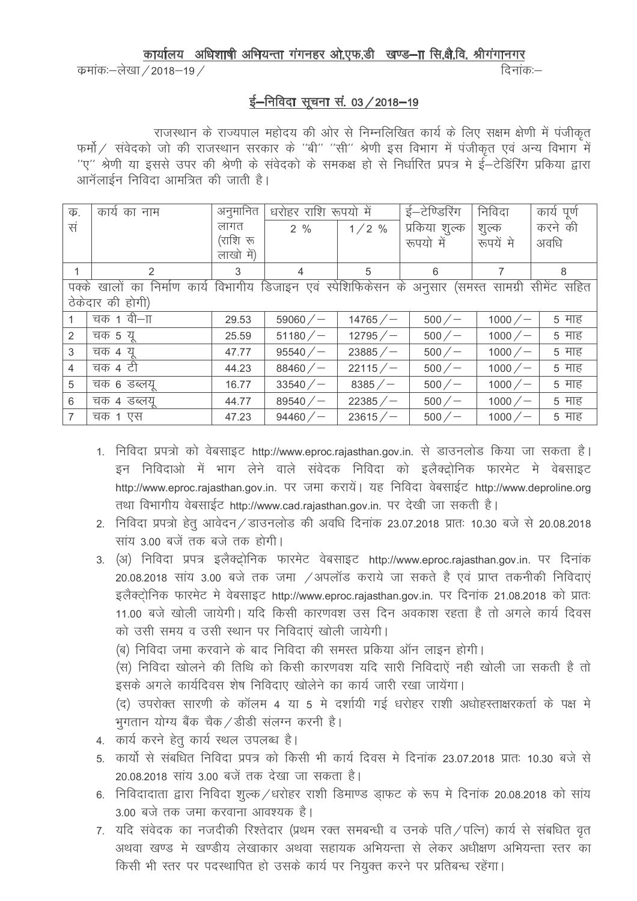## कार्यालय अधिशाषी अभियन्ता गंगनहर ओ.एफ.डी खण्ड-IT सि.क्षै.वि. श्रीगंगानगर

कमांकः–लेखा / 2018–19 /

तिनांक:—

## ई-निविदा सूचना सं. 03 / 2018-19

राजस्थान के राज्यपाल महोदय की ओर से निम्नलिखित कार्य के लिए सक्षम क्षेणी में पंजीकृत फर्मो / संवेदको जो की राजस्थान सरकार के "बी" "सी" श्रेणी इस विभाग में पंजीकृत एवं अन्य विभाग में ''ए'' श्रेणी या इससे उपर की श्रेणी के संवेदको के समकक्ष हो से निर्धारित प्रपत्र मे ई—टेडिंरिंग प्रकिया द्वारा आनॅलाईन निविदा आमंत्रित की जाती है।

| क.                                                                                                      | कार्य का नाम  | अनुमानित  | धरोहर राशि रूपयो में |             | ई—टेण्डिरिंग  | निविदा     | कार्य पूर्ण |
|---------------------------------------------------------------------------------------------------------|---------------|-----------|----------------------|-------------|---------------|------------|-------------|
| सं                                                                                                      |               | लागत      | 2%                   | $1/2$ %     | प्रकिया शुल्क | शूल्क      | करने की     |
|                                                                                                         |               | (राशि रू  |                      |             | रूपयो में     | रूपयें मे  | अवधि        |
|                                                                                                         |               | लाखो में) |                      |             |               |            |             |
|                                                                                                         | $\mathcal{P}$ | 3         | 4                    | 5           | 6             |            | 8           |
| निर्माण कार्य विभागीय डिजाइन एवं स्पेशिफिकेसन के अनुसार (समस्त सामग्री सीमेंट सहित<br>खालों का<br>पक्के |               |           |                      |             |               |            |             |
| ठेकेदार की होगी)                                                                                        |               |           |                      |             |               |            |             |
|                                                                                                         | चक 1 वी—ाा    | 29.53     | $59060 / -$          | $14765 / -$ | 500/          | $1000 / -$ | 5 माह       |
| 2                                                                                                       | चक 5 यू       | 25.59     | $51180 / -$          | $12795 / -$ | 500/          | $1000 / -$ | 5 माह       |
| 3                                                                                                       | चक 4 य        | 47.77     | $95540 / -$          | $23885 / -$ | 500/          | $1000 / -$ | 5 माह       |
| $\overline{4}$                                                                                          | चक 4 टी       | 44.23     | $88460 / -$          | 22115/      | 500/          | $1000 / -$ | 5 माह       |
| 5                                                                                                       | चक 6 डब्लयू   | 16.77     | 33540/               | $8385 / -$  | 500/          | $1000 / -$ | 5 माह       |
| 6                                                                                                       | चक ४ डब्लयू   | 44.77     | $89540 / -$          | $22385 / -$ | 500/          | $1000 / -$ | 5 माह       |
| 7                                                                                                       | चक 1 एस       | 47.23     | $94460 / -$          | 23615/      | 500/          | $1000 / -$ | 5 माह       |

- 1. निविदा प्रपत्रो को वेबसाइट http://www.eproc.rajasthan.gov.in. से डाउनलोड किया जा सकता है। इन निविदाओ में भाग लेने वाले संवेदक निविदा को इलैक्ट्रोनिक फारमेट मे वेबसाइट http://www.eproc.raiasthan.gov.in. पर जमा करायें। यह निविदा वेबसाईट http://www.deproline.org तथा विभागीय वेबसाईट http://www.cad.rajasthan.gov.in. पर देखी जा सकती है।
- 2. निविदा प्रपत्रो हेतू आवेदन / डाउनलोड की अवधि दिनांक 23.07.2018 प्रातः 10.30 बजे से 20.08.2018 सांय 3.00 बजें तक बजे तक होगी।
- 3. (अ) निविदा प्रपत्र इलैक्ट्रोनिक फारमेट वेबसाइट http://www.eproc.rajasthan.gov.in. पर दिनांक 20.08.2018 सांय 3.00 बजे तक जमा /अपलॉड कराये जा सकते है एवं प्राप्त तकनीकी निविदाएं इलैक्टोनिक फारमेट मे वेबसाइट http://www.eproc.rajasthan.gov.in. पर दिनांक 21.08.2018 को प्रातः 11.00 बजे खोली जायेगी। यदि किसी कारणवश उस दिन अवकाश रहता है तो अगले कार्य दिवस को उसी समय व उसी स्थान पर निविदाएं खोली जायेगी।

(ब) निविदा जमा करवाने के बाद निविदा की समस्त प्रकिया ऑन लाइन होगी।

(स) निविदा खोलने की तिथि को किसी कारणवश यदि सारी निविदाएं नही खोली जा सकती है तो इसके अगले कार्यदिवस शेष निविदाए खोलेने का कार्य जारी रखा जायेंगा।

(द) उपरोक्त सारणी के कॉलम 4 या 5 मे दर्शायी गई धरोहर राशी अधोहस्ताक्षरकर्ता के पक्ष मे भगतान योग्य बैंक चैक /डीडी संलग्न करनी है।

- 4. कार्य करने हेतु कार्य स्थल उपलब्ध है।
- 5 कार्यो से संबधित निविदा प्रपत्र को किसी भी कार्य दिवस मे दिनांक 23.07.2018 प्रातः 10.30 बजे से 20.08.2018 सांय 3.00 बजें तक देखा जा सकता है।
- 6. निविदादाता द्वारा निविदा शल्क /धरोहर राशी डिमाण्ड डाफट के रूप मे दिनांक 20.08.2018 को सांय 3.00 बजे तक जमा करवाना आवश्यक है।
- 7. यदि संवेदक का नजदीकी रिश्तेदार (प्रथम रक्त समबन्धी व उनके पति ⁄ पत्नि) कार्य से संबधित वत अथवा खण्ड मे खण्डीय लेखाकार अथवा सहायक अभियन्ता से लेकर अधीक्षण अभियन्ता स्तर का किसी भी स्तर पर पदस्थापित हो उसके कार्य पर नियुक्त करने पर प्रतिबन्ध रहेंगा।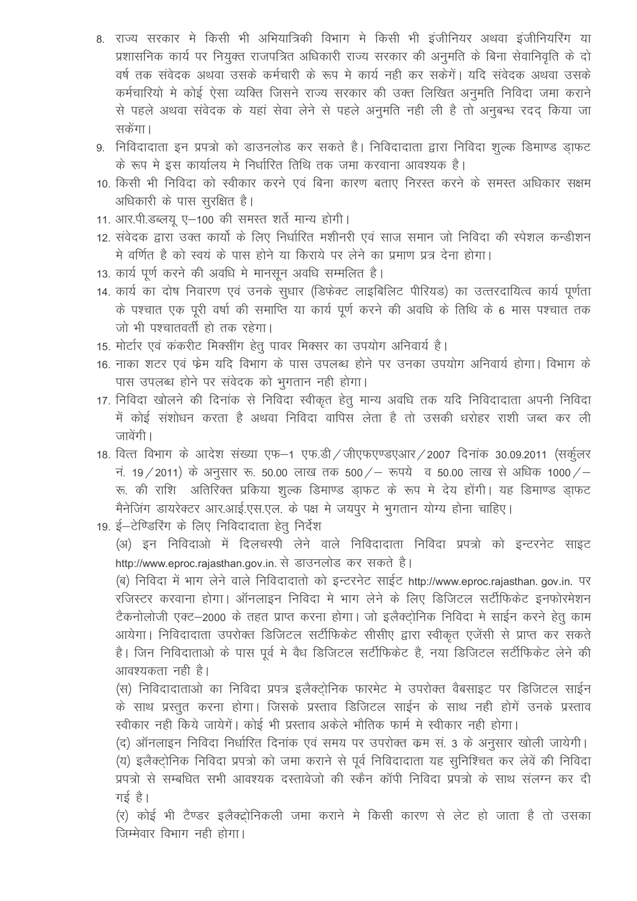- 8. राज्य सरकार मे किसी भी अभियात्रिकी विभाग मे किसी भी इंजीनियर अथवा इंजीनियरिंग या प्रशासनिक कार्य पर नियुक्त राजपत्रित अधिकारी राज्य सरकार की अनुमति के बिना सेवानिवृति के दो वर्ष तक संवेदक अथवा उसके कर्मचारी के रूप मे कार्य नही कर सकेगें। यदि संवेदक अथवा उसके कर्मचारियो मे कोई ऐसा व्यक्ति जिसने राज्य सरकार की उक्त लिखित अनुमति निविदा जमा कराने से पहले अथवा संवेदक के यहां सेवा लेने से पहले अनुमति नही ली है तो अनुबन्ध रदद किया जा सकेंगा।
- 9. निविदादाता इन प्रपत्रो को डाउनलोड कर सकते है। निविदादाता द्वारा निविदा शुल्क डिमाण्ड ड़ाफट के रूप मे इस कार्यालय मे निर्धारित तिथि तक जमा करवाना आवश्यक है।
- 10. किसी भी निविदा को स्वीकार करने एवं बिना कारण बताए निरस्त करने के समस्त अधिकार सक्षम अधिकारी के पास सुरक्षित है।
- 11. आर.पी.डब्लय ए-100 की समस्त शर्ते मान्य होगी।
- 12. संवेदक द्वारा उक्त कार्यो के लिए निर्धारित मशीनरी एवं साज समान जो निविदा की स्पेशल कन्डीशन मे वर्णित है को स्वयं के पास होने या किराये पर लेने का प्रमाण प्रत्र देना होगा।
- 13. कार्य पूर्ण करने की अवधि मे मानसून अवधि सम्मलित है।
- 14. कार्य का दोष निवारण एवं उनके सुधार (डिफेक्ट लाइबिलिट पीरियड) का उत्तरदायित्व कार्य पूर्णता के पश्चात एक पूरी वर्षा की समाप्ति या कार्य पूर्ण करने की अवधि के तिथि के 6 मास पश्चात तक जो भी पश्चातवर्ती हो तक रहेगा।
- 15. मोर्टार एवं कंकरीट मिक्सींग हेतू पावर मिक्सर का उपयोग अनिवार्य है।
- 16. नाका शटर एवं फेम यदि विभाग के पास उपलब्ध होने पर उनका उपयोग अनिवार्य होगा। विभाग के पास उपलब्ध होने पर संवेदक को भुगतान नही होगा।
- 17. निविदा खोलने की दिनांक से निविदा स्वीकृत हेतू मान्य अवधि तक यदि निविदादाता अपनी निविदा में कोई संशोधन करता है अथवा निविदा वापिस लेता है तो उसकी धरोहर राशी जब्त कर ली जावेंगी।
- 18. वित्त विभाग के आदेश संख्या एफ-1 एफ.डी / जीएफएण्डएआर / 2007 दिनांक 30.09.2011 (सर्कुलर नं. 19 / 2011) के अनुसार रू. 50.00 लाख तक 500 / – रूपये व 50.00 लाख से अधिक 1000 / – रू. की राशि अतिरिक्त प्रकिया शुल्क डिमाण्ड ड़ाफट के रूप मे देय होंगी। यह डिमाण्ड ड़ाफट मैनेजिंग डायरेक्टर आर.आई.एस.एल. के पक्ष मे जयपुर मे भुगतान योग्य होना चाहिए।
- 19. ई-टेण्डिरिंग के लिए निविदादाता हेतू निर्देश

(अ) इन निविदाओं में दिलचस्पी लेने वाले निविदादाता निविदा प्रपत्रों को इन्टरनेट साइट http://www.eproc.rajasthan.gov.in. से डाउनलोड कर सकते है।

(ब) निविदा में भाग लेने वाले निविदादातो को इन्टरनेट साईट http://www.eproc.rajasthan.gov.in. पर रजिस्टर करवाना होगा। ऑनलाइन निविदा मे भाग लेने के लिए डिजिटल सर्टीफिकेट इनफोरमेशन टैकनोलोजी एक्ट-2000 के तहत प्राप्त करना होगा। जो इलैक्टोनिक निविदा मे साईन करने हेतु काम आयेगा। निविदादाता उपरोक्त डिजिटल सर्टीफिकेट सीसीए द्वारा स्वीकृत एजेंसी से प्राप्त कर सकते है। जिन निविदाताओं के पास पर्व में वैध डिजिटल सर्टीफिकेट है, नया डिजिटल सर्टीफिकेट लेने की आवश्यकता नही है।

(स) निविदादाताओ का निविदा प्रपत्र इलैक्टोनिक फारमेट मे उपरोक्त वैबसाइट पर डिजिटल साईन के साथ प्रस्तूत करना होगा। जिसके प्रस्ताव डिजिटल साईन के साथ नही होगें उनके प्रस्ताव स्वीकार नहीं किये जायेगें। कोई भी प्रस्ताव अकेले भौतिक फार्म में स्वीकार नहीं होगा।

(द) ऑनलाइन निविदा निर्धारित दिनांक एवं समय पर उपरोक्त कम सं. 3 के अनुसार खोली जायेगी। (य) इलैक्ट्रोनिक निविदा प्रपत्रो को जमा कराने से पूर्व निविदादाता यह सुनिश्चित कर लेवें की निविदा प्रपत्रों से सम्बधित सभी आवश्यक दस्तावेजों की स्कैन कॉपी निविदा प्रपत्रों के साथ संलग्न कर दी गई है।

(र) कोई भी टैण्डर इलैक्ट्रोनिकली जमा कराने मे किसी कारण से लेट हो जाता है तो उसका जिम्मेवार विभाग नही होगा।